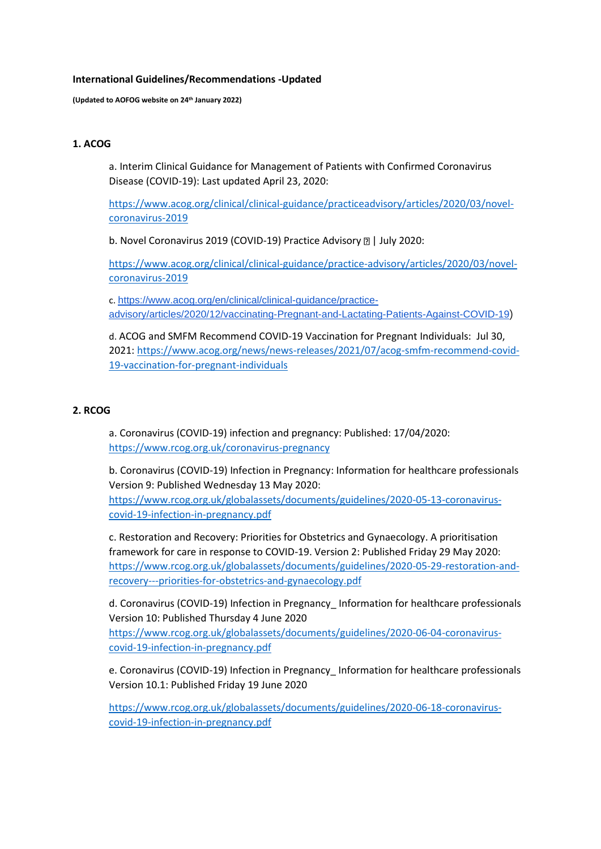#### **International Guidelines/Recommendations -Updated**

**(Updated to AOFOG website on 24th January 2022)**

## **1. ACOG**

a. Interim Clinical Guidance for Management of Patients with Confirmed Coronavirus Disease (COVID-19): Last updated April 23, 2020:

[https://www.acog.org/clinical/clinical-guidance/practiceadvisory/articles/2020/03/novel](https://www.acog.org/clinical/clinical-guidance/practiceadvisory/articles/2020/03/novel-coronavirus-2019)[coronavirus-2019](https://www.acog.org/clinical/clinical-guidance/practiceadvisory/articles/2020/03/novel-coronavirus-2019)

b. Novel Coronavirus 2019 (COVID-19) Practice Advisory **DI July 2020:** 

[https://www.acog.org/clinical/clinical-guidance/practice-advisory/articles/2020/03/novel](https://www.acog.org/clinical/clinical-guidance/practice-advisory/articles/2020/03/novel-coronavirus-2019)[coronavirus-2019](https://www.acog.org/clinical/clinical-guidance/practice-advisory/articles/2020/03/novel-coronavirus-2019)

c. [https://www.acog.org/en/clinical/clinical-guidance/practice](https://www.acog.org/en/clinical/clinical-guidance/practice-advisory/articles/2020/12/vaccinating-Pregnant-and-Lactating-Patients-Against-COVID-19)[advisory/articles/2020/12/vaccinating-Pregnant-and-Lactating-Patients-Against-COVID-19](https://www.acog.org/en/clinical/clinical-guidance/practice-advisory/articles/2020/12/vaccinating-Pregnant-and-Lactating-Patients-Against-COVID-19))

d. ACOG and SMFM Recommend COVID-19 Vaccination for Pregnant Individuals: Jul 30, 2021[: https://www.acog.org/news/news-releases/2021/07/acog-smfm-recommend-covid-](https://www.acog.org/news/news-releases/2021/07/acog-smfm-recommend-covid-19-vaccination-for-pregnant-individuals)[19-vaccination-for-pregnant-individuals](https://www.acog.org/news/news-releases/2021/07/acog-smfm-recommend-covid-19-vaccination-for-pregnant-individuals) 

### **2. RCOG**

a. Coronavirus (COVID-19) infection and pregnancy: Published: 17/04/2020: <https://www.rcog.org.uk/coronavirus-pregnancy>

b. Coronavirus (COVID-19) Infection in Pregnancy: Information for healthcare professionals Version 9: Published Wednesday 13 May 2020:

[https://www.rcog.org.uk/globalassets/documents/guidelines/2020-05-13-coronavirus](https://www.rcog.org.uk/globalassets/documents/guidelines/2020-05-13-coronavirus-covid-19-infection-in-pregnancy.pdf)[covid-19-infection-in-pregnancy.pdf](https://www.rcog.org.uk/globalassets/documents/guidelines/2020-05-13-coronavirus-covid-19-infection-in-pregnancy.pdf)

c. Restoration and Recovery: Priorities for Obstetrics and Gynaecology. A prioritisation framework for care in response to COVID-19. Version 2: Published Friday 29 May 2020: [https://www.rcog.org.uk/globalassets/documents/guidelines/2020-05-29-restoration-and](https://www.rcog.org.uk/globalassets/documents/guidelines/2020-05-29-restoration-and-recovery---priorities-for-obstetrics-and-gynaecology.pdf)[recovery---priorities-for-obstetrics-and-gynaecology.pdf](https://www.rcog.org.uk/globalassets/documents/guidelines/2020-05-29-restoration-and-recovery---priorities-for-obstetrics-and-gynaecology.pdf)

d. Coronavirus (COVID-19) Infection in Pregnancy\_ Information for healthcare professionals Version 10: Published Thursday 4 June 2020 [https://www.rcog.org.uk/globalassets/documents/guidelines/2020-06-04-coronavirus](https://www.rcog.org.uk/globalassets/documents/guidelines/2020-06-04-coronavirus-covid-19-infection-in-pregnancy.pdf)[covid-19-infection-in-pregnancy.pdf](https://www.rcog.org.uk/globalassets/documents/guidelines/2020-06-04-coronavirus-covid-19-infection-in-pregnancy.pdf)

e. Coronavirus (COVID-19) Infection in Pregnancy\_ Information for healthcare professionals Version 10.1: Published Friday 19 June 2020

[https://www.rcog.org.uk/globalassets/documents/guidelines/2020-06-18-coronavirus](https://www.rcog.org.uk/globalassets/documents/guidelines/2020-06-18-coronavirus-covid-19-infection-in-pregnancy.pdf)[covid-19-infection-in-pregnancy.pdf](https://www.rcog.org.uk/globalassets/documents/guidelines/2020-06-18-coronavirus-covid-19-infection-in-pregnancy.pdf)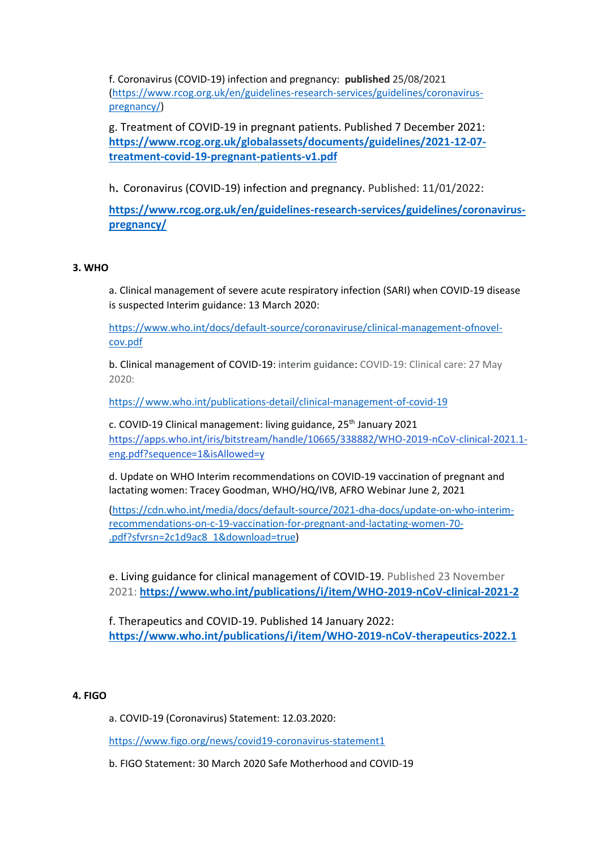f. Coronavirus (COVID-19) infection and pregnancy: **published** 25/08/2021 [\(https://www.rcog.org.uk/en/guidelines-research-services/guidelines/coronavirus](https://www.rcog.org.uk/en/guidelines-research-services/guidelines/coronavirus-pregnancy/)[pregnancy/\)](https://www.rcog.org.uk/en/guidelines-research-services/guidelines/coronavirus-pregnancy/)

g. Treatment of COVID-19 in pregnant patients. Published 7 December 2021: **[https://www.rcog.org.uk/globalassets/documents/guidelines/2021-12-07](https://www.rcog.org.uk/globalassets/documents/guidelines/2021-12-07-treatment-covid-19-pregnant-patients-v1.pdf) [treatment-covid-19-pregnant-patients-v1.pdf](https://www.rcog.org.uk/globalassets/documents/guidelines/2021-12-07-treatment-covid-19-pregnant-patients-v1.pdf)**

<sup>h</sup>. Coronavirus (COVID-19) infection and pregnancy. Published: 11/01/2022:

**[https://www.rcog.org.uk/en/guidelines-research-services/guidelines/coronavirus](https://www.rcog.org.uk/en/guidelines-research-services/guidelines/coronavirus-pregnancy/)[pregnancy/](https://www.rcog.org.uk/en/guidelines-research-services/guidelines/coronavirus-pregnancy/)**

# **3. WHO**

a. Clinical management of severe acute respiratory infection (SARI) when COVID-19 disease is suspected Interim guidance: 13 March 2020:

[https://www.who.int/docs/default-source/coronaviruse/clinical-management-ofnovel](https://www.who.int/docs/default-source/coronaviruse/clinical-management-ofnovel-cov.pdf)[cov.pdf](https://www.who.int/docs/default-source/coronaviruse/clinical-management-ofnovel-cov.pdf)

b. Clinical management of COVID-19: interim guidance: COVID-19: Clinical care: 27 May 2020:

https://www.who.int/publications-detail/clinical-management-of-covid-19

c. COVID-19 Clinical management: living guidance, 25<sup>th</sup> January 2021 https://apps.who.int/iris/bitstream/handle/10665/338882/WHO-2019-nCoV-clinical-2021.1 eng.pdf?sequence=1&isAllowed=y

d. Update on WHO Interim recommendations on COVID-19 vaccination of pregnant and lactating women: Tracey Goodman, WHO/HQ/IVB, AFRO Webinar June 2, 2021

[\(https://cdn.who.int/media/docs/default-source/2021-dha-docs/update-on-who-interim](https://cdn.who.int/media/docs/default-source/2021-dha-docs/update-on-who-interim-recommendations-on-c-19-vaccination-for-pregnant-and-lactating-women-70-.pdf?sfvrsn=2c1d9ac8_1&download=true)[recommendations-on-c-19-vaccination-for-pregnant-and-lactating-women-70-](https://cdn.who.int/media/docs/default-source/2021-dha-docs/update-on-who-interim-recommendations-on-c-19-vaccination-for-pregnant-and-lactating-women-70-.pdf?sfvrsn=2c1d9ac8_1&download=true) [.pdf?sfvrsn=2c1d9ac8\\_1&download=true\)](https://cdn.who.int/media/docs/default-source/2021-dha-docs/update-on-who-interim-recommendations-on-c-19-vaccination-for-pregnant-and-lactating-women-70-.pdf?sfvrsn=2c1d9ac8_1&download=true)

e. Living guidance for clinical management of COVID-19. Published 23 November 2021: **<https://www.who.int/publications/i/item/WHO-2019-nCoV-clinical-2021-2>**

f. Therapeutics and COVID-19. Published 14 January 2022: **<https://www.who.int/publications/i/item/WHO-2019-nCoV-therapeutics-2022.1>**

### **4. FIGO**

a. COVID-19 (Coronavirus) Statement: 12.03.2020:

<https://www.figo.org/news/covid19-coronavirus-statement1>

b. FIGO Statement: 30 March 2020 Safe Motherhood and COVID-19